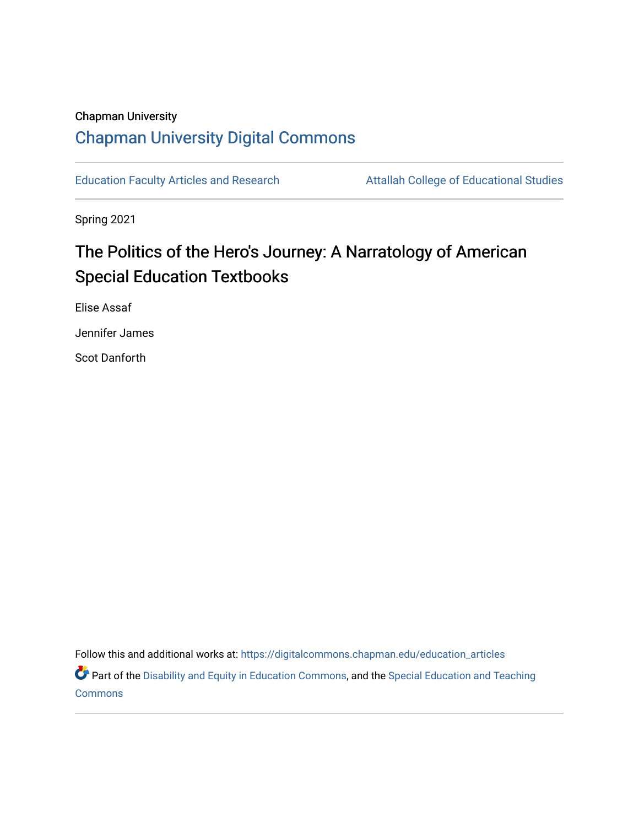## Chapman University [Chapman University Digital Commons](https://digitalcommons.chapman.edu/)

[Education Faculty Articles and Research](https://digitalcommons.chapman.edu/education_articles) Attallah College of Educational Studies

Spring 2021

# The Politics of the Hero's Journey: A Narratology of American Special Education Textbooks

Elise Assaf

Jennifer James

Scot Danforth

Follow this and additional works at: [https://digitalcommons.chapman.edu/education\\_articles](https://digitalcommons.chapman.edu/education_articles?utm_source=digitalcommons.chapman.edu%2Feducation_articles%2F303&utm_medium=PDF&utm_campaign=PDFCoverPages)

Part of the [Disability and Equity in Education Commons](http://network.bepress.com/hgg/discipline/1040?utm_source=digitalcommons.chapman.edu%2Feducation_articles%2F303&utm_medium=PDF&utm_campaign=PDFCoverPages), and the Special Education and Teaching [Commons](http://network.bepress.com/hgg/discipline/801?utm_source=digitalcommons.chapman.edu%2Feducation_articles%2F303&utm_medium=PDF&utm_campaign=PDFCoverPages)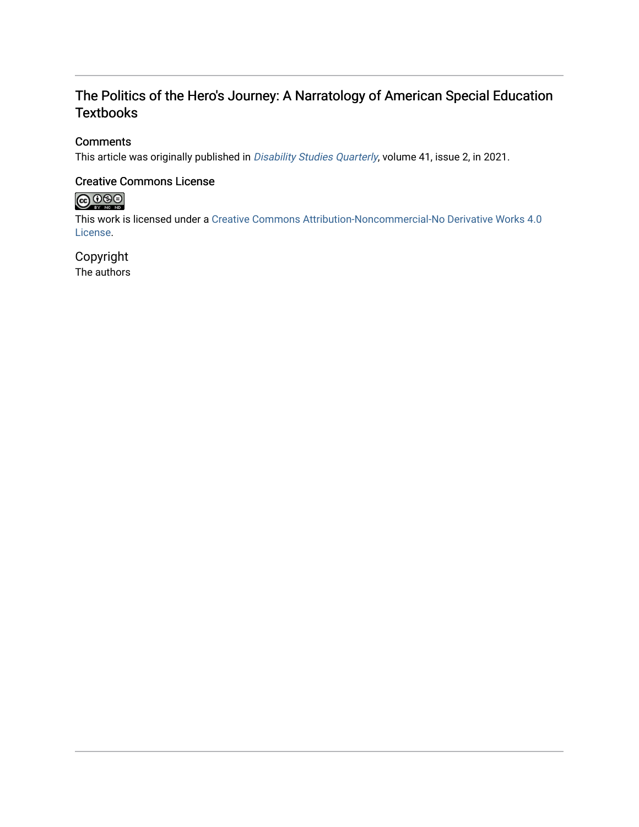## The Politics of the Hero's Journey: A Narratology of American Special Education **Textbooks**

#### **Comments**

This article was originally published in *[Disability Studies Quarterly](http://dx.doi.org/10.18061/dsq.v41i2)*, volume 41, issue 2, in 2021.

#### Creative Commons License

# 

This work is licensed under a [Creative Commons Attribution-Noncommercial-No Derivative Works 4.0](https://creativecommons.org/licenses/by-nc-nd/4.0/) [License](https://creativecommons.org/licenses/by-nc-nd/4.0/).

## Copyright

The authors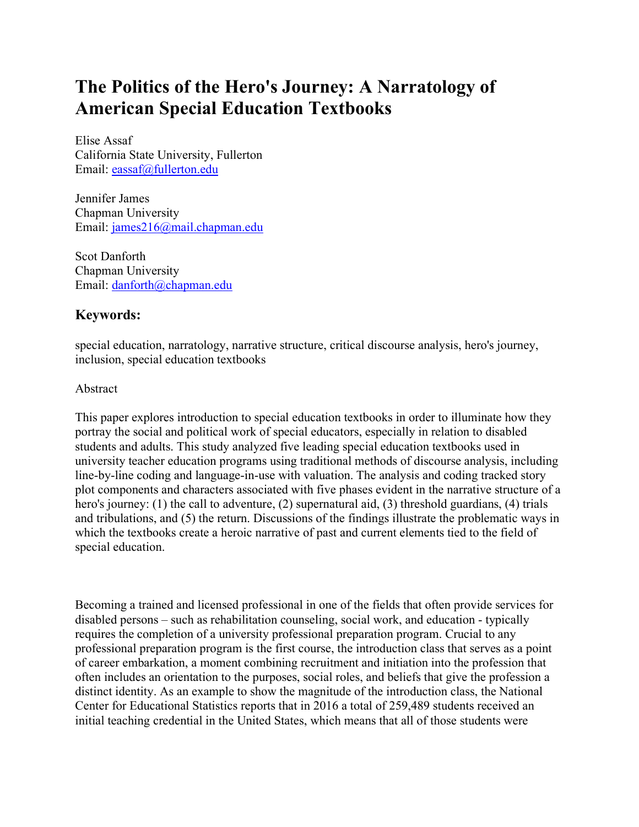# **The Politics of the Hero's Journey: A Narratology of American Special Education Textbooks**

Elise Assaf California State University, Fullerton Email: [eassaf@fullerton.edu](mailto:eassaf@fullerton.edu)

Jennifer James Chapman University Email: [james216@mail.chapman.edu](mailto:james216@mail.chapman.edu)

Scot Danforth Chapman University Email: [danforth@chapman.edu](mailto:danforth@chapman.edu)

## **Keywords:**

special education, narratology, narrative structure, critical discourse analysis, hero's journey, inclusion, special education textbooks

#### Abstract

This paper explores introduction to special education textbooks in order to illuminate how they portray the social and political work of special educators, especially in relation to disabled students and adults. This study analyzed five leading special education textbooks used in university teacher education programs using traditional methods of discourse analysis, including line-by-line coding and language-in-use with valuation. The analysis and coding tracked story plot components and characters associated with five phases evident in the narrative structure of a hero's journey: (1) the call to adventure, (2) supernatural aid, (3) threshold guardians, (4) trials and tribulations, and (5) the return. Discussions of the findings illustrate the problematic ways in which the textbooks create a heroic narrative of past and current elements tied to the field of special education.

Becoming a trained and licensed professional in one of the fields that often provide services for disabled persons – such as rehabilitation counseling, social work, and education - typically requires the completion of a university professional preparation program. Crucial to any professional preparation program is the first course, the introduction class that serves as a point of career embarkation, a moment combining recruitment and initiation into the profession that often includes an orientation to the purposes, social roles, and beliefs that give the profession a distinct identity. As an example to show the magnitude of the introduction class, the National Center for Educational Statistics reports that in 2016 a total of 259,489 students received an initial teaching credential in the United States, which means that all of those students were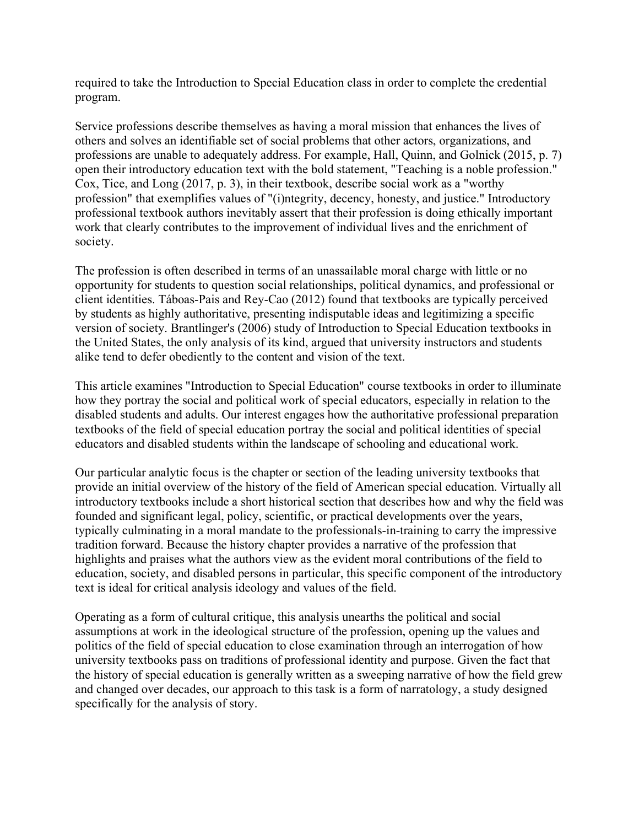required to take the Introduction to Special Education class in order to complete the credential program.

Service professions describe themselves as having a moral mission that enhances the lives of others and solves an identifiable set of social problems that other actors, organizations, and professions are unable to adequately address. For example, Hall, Quinn, and Golnick (2015, p. 7) open their introductory education text with the bold statement, "Teaching is a noble profession." Cox, Tice, and Long (2017, p. 3), in their textbook, describe social work as a "worthy profession" that exemplifies values of "(i)ntegrity, decency, honesty, and justice." Introductory professional textbook authors inevitably assert that their profession is doing ethically important work that clearly contributes to the improvement of individual lives and the enrichment of society.

The profession is often described in terms of an unassailable moral charge with little or no opportunity for students to question social relationships, political dynamics, and professional or client identities. Táboas-Pais and Rey-Cao (2012) found that textbooks are typically perceived by students as highly authoritative, presenting indisputable ideas and legitimizing a specific version of society. Brantlinger's (2006) study of Introduction to Special Education textbooks in the United States, the only analysis of its kind, argued that university instructors and students alike tend to defer obediently to the content and vision of the text.

This article examines "Introduction to Special Education" course textbooks in order to illuminate how they portray the social and political work of special educators, especially in relation to the disabled students and adults. Our interest engages how the authoritative professional preparation textbooks of the field of special education portray the social and political identities of special educators and disabled students within the landscape of schooling and educational work.

Our particular analytic focus is the chapter or section of the leading university textbooks that provide an initial overview of the history of the field of American special education. Virtually all introductory textbooks include a short historical section that describes how and why the field was founded and significant legal, policy, scientific, or practical developments over the years, typically culminating in a moral mandate to the professionals-in-training to carry the impressive tradition forward. Because the history chapter provides a narrative of the profession that highlights and praises what the authors view as the evident moral contributions of the field to education, society, and disabled persons in particular, this specific component of the introductory text is ideal for critical analysis ideology and values of the field.

Operating as a form of cultural critique, this analysis unearths the political and social assumptions at work in the ideological structure of the profession, opening up the values and politics of the field of special education to close examination through an interrogation of how university textbooks pass on traditions of professional identity and purpose. Given the fact that the history of special education is generally written as a sweeping narrative of how the field grew and changed over decades, our approach to this task is a form of narratology, a study designed specifically for the analysis of story.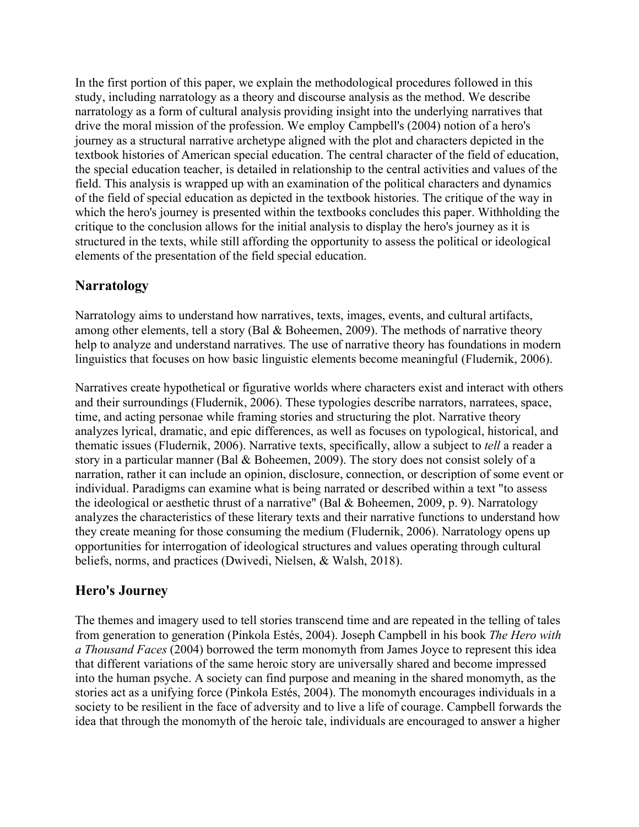In the first portion of this paper, we explain the methodological procedures followed in this study, including narratology as a theory and discourse analysis as the method. We describe narratology as a form of cultural analysis providing insight into the underlying narratives that drive the moral mission of the profession. We employ Campbell's (2004) notion of a hero's journey as a structural narrative archetype aligned with the plot and characters depicted in the textbook histories of American special education. The central character of the field of education, the special education teacher, is detailed in relationship to the central activities and values of the field. This analysis is wrapped up with an examination of the political characters and dynamics of the field of special education as depicted in the textbook histories. The critique of the way in which the hero's journey is presented within the textbooks concludes this paper. Withholding the critique to the conclusion allows for the initial analysis to display the hero's journey as it is structured in the texts, while still affording the opportunity to assess the political or ideological elements of the presentation of the field special education.

## **Narratology**

Narratology aims to understand how narratives, texts, images, events, and cultural artifacts, among other elements, tell a story (Bal & Boheemen, 2009). The methods of narrative theory help to analyze and understand narratives. The use of narrative theory has foundations in modern linguistics that focuses on how basic linguistic elements become meaningful (Fludernik, 2006).

Narratives create hypothetical or figurative worlds where characters exist and interact with others and their surroundings (Fludernik, 2006). These typologies describe narrators, narratees, space, time, and acting personae while framing stories and structuring the plot. Narrative theory analyzes lyrical, dramatic, and epic differences, as well as focuses on typological, historical, and thematic issues (Fludernik, 2006). Narrative texts, specifically, allow a subject to *tell* a reader a story in a particular manner (Bal & Boheemen, 2009). The story does not consist solely of a narration, rather it can include an opinion, disclosure, connection, or description of some event or individual. Paradigms can examine what is being narrated or described within a text "to assess the ideological or aesthetic thrust of a narrative" (Bal & Boheemen, 2009, p. 9). Narratology analyzes the characteristics of these literary texts and their narrative functions to understand how they create meaning for those consuming the medium (Fludernik, 2006). Narratology opens up opportunities for interrogation of ideological structures and values operating through cultural beliefs, norms, and practices (Dwivedi, Nielsen, & Walsh, 2018).

## **Hero's Journey**

The themes and imagery used to tell stories transcend time and are repeated in the telling of tales from generation to generation (Pinkola Estés, 2004). Joseph Campbell in his book *The Hero with a Thousand Faces* (2004) borrowed the term monomyth from James Joyce to represent this idea that different variations of the same heroic story are universally shared and become impressed into the human psyche. A society can find purpose and meaning in the shared monomyth, as the stories act as a unifying force (Pinkola Estés, 2004). The monomyth encourages individuals in a society to be resilient in the face of adversity and to live a life of courage. Campbell forwards the idea that through the monomyth of the heroic tale, individuals are encouraged to answer a higher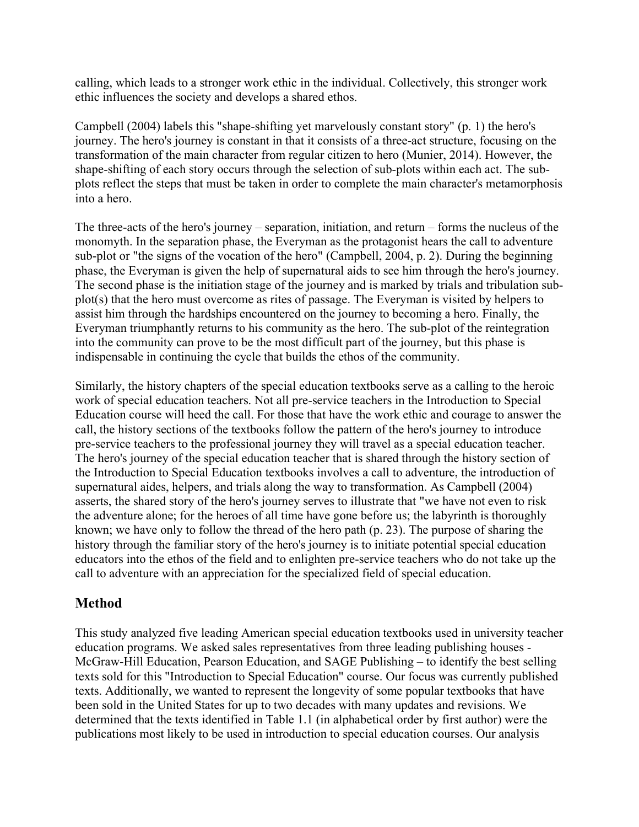calling, which leads to a stronger work ethic in the individual. Collectively, this stronger work ethic influences the society and develops a shared ethos.

Campbell (2004) labels this "shape-shifting yet marvelously constant story" (p. 1) the hero's journey. The hero's journey is constant in that it consists of a three-act structure, focusing on the transformation of the main character from regular citizen to hero (Munier, 2014). However, the shape-shifting of each story occurs through the selection of sub-plots within each act. The subplots reflect the steps that must be taken in order to complete the main character's metamorphosis into a hero.

The three-acts of the hero's journey – separation, initiation, and return – forms the nucleus of the monomyth. In the separation phase, the Everyman as the protagonist hears the call to adventure sub-plot or "the signs of the vocation of the hero" (Campbell, 2004, p. 2). During the beginning phase, the Everyman is given the help of supernatural aids to see him through the hero's journey. The second phase is the initiation stage of the journey and is marked by trials and tribulation subplot(s) that the hero must overcome as rites of passage. The Everyman is visited by helpers to assist him through the hardships encountered on the journey to becoming a hero. Finally, the Everyman triumphantly returns to his community as the hero. The sub-plot of the reintegration into the community can prove to be the most difficult part of the journey, but this phase is indispensable in continuing the cycle that builds the ethos of the community.

Similarly, the history chapters of the special education textbooks serve as a calling to the heroic work of special education teachers. Not all pre-service teachers in the Introduction to Special Education course will heed the call. For those that have the work ethic and courage to answer the call, the history sections of the textbooks follow the pattern of the hero's journey to introduce pre-service teachers to the professional journey they will travel as a special education teacher. The hero's journey of the special education teacher that is shared through the history section of the Introduction to Special Education textbooks involves a call to adventure, the introduction of supernatural aides, helpers, and trials along the way to transformation. As Campbell (2004) asserts, the shared story of the hero's journey serves to illustrate that "we have not even to risk the adventure alone; for the heroes of all time have gone before us; the labyrinth is thoroughly known; we have only to follow the thread of the hero path (p. 23). The purpose of sharing the history through the familiar story of the hero's journey is to initiate potential special education educators into the ethos of the field and to enlighten pre-service teachers who do not take up the call to adventure with an appreciation for the specialized field of special education.

#### **Method**

This study analyzed five leading American special education textbooks used in university teacher education programs. We asked sales representatives from three leading publishing houses - McGraw-Hill Education, Pearson Education, and SAGE Publishing – to identify the best selling texts sold for this "Introduction to Special Education" course. Our focus was currently published texts. Additionally, we wanted to represent the longevity of some popular textbooks that have been sold in the United States for up to two decades with many updates and revisions. We determined that the texts identified in Table 1.1 (in alphabetical order by first author) were the publications most likely to be used in introduction to special education courses. Our analysis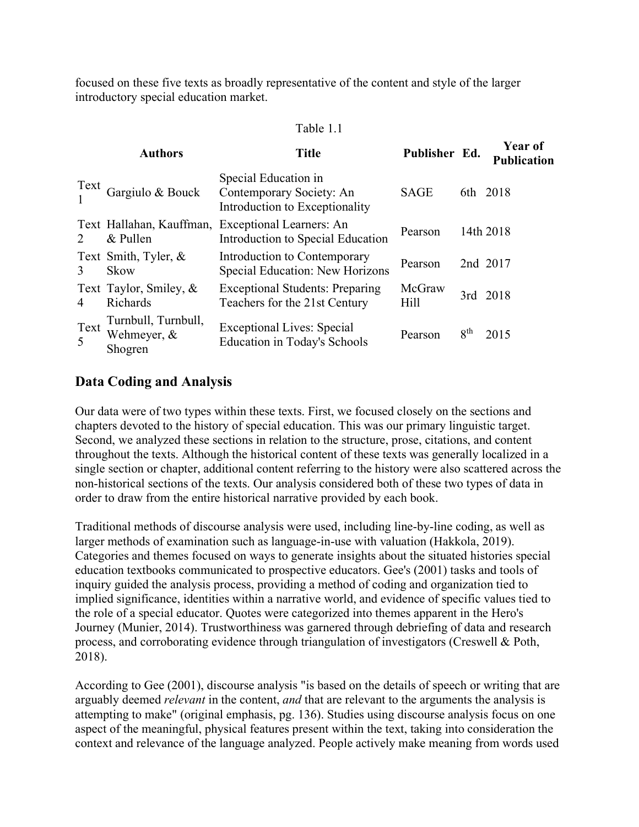focused on these five texts as broadly representative of the content and style of the larger introductory special education market.

#### Table 1.1

|                             | <b>Authors</b>                                | <b>Title</b>                                                                       | Publisher Ed.         |                 | <b>Year of</b><br><b>Publication</b> |
|-----------------------------|-----------------------------------------------|------------------------------------------------------------------------------------|-----------------------|-----------------|--------------------------------------|
| Text                        | Gargiulo & Bouck                              | Special Education in<br>Contemporary Society: An<br>Introduction to Exceptionality | <b>SAGE</b>           |                 | 6th 2018                             |
| $\mathcal{D}_{\mathcal{L}}$ | Text Hallahan, Kauffman,<br>& Pullen          | <b>Exceptional Learners: An</b><br>Introduction to Special Education               | Pearson               |                 | 14th 2018                            |
| $\mathcal{E}$               | Text Smith, Tyler, &<br>Skow                  | Introduction to Contemporary<br>Special Education: New Horizons                    | Pearson               |                 | 2nd 2017                             |
| 4                           | Text Taylor, Smiley, &<br>Richards            | <b>Exceptional Students: Preparing</b><br>Teachers for the 21st Century            | McGraw<br><b>Hill</b> |                 | 3rd 2018                             |
| Text<br>5                   | Turnbull, Turnbull,<br>Wehmeyer, &<br>Shogren | <b>Exceptional Lives: Special</b><br><b>Education in Today's Schools</b>           | Pearson               | 8 <sup>th</sup> | 2015                                 |

#### **Data Coding and Analysis**

Our data were of two types within these texts. First, we focused closely on the sections and chapters devoted to the history of special education. This was our primary linguistic target. Second, we analyzed these sections in relation to the structure, prose, citations, and content throughout the texts. Although the historical content of these texts was generally localized in a single section or chapter, additional content referring to the history were also scattered across the non-historical sections of the texts. Our analysis considered both of these two types of data in order to draw from the entire historical narrative provided by each book.

Traditional methods of discourse analysis were used, including line-by-line coding, as well as larger methods of examination such as language-in-use with valuation (Hakkola, 2019). Categories and themes focused on ways to generate insights about the situated histories special education textbooks communicated to prospective educators. Gee's (2001) tasks and tools of inquiry guided the analysis process, providing a method of coding and organization tied to implied significance, identities within a narrative world, and evidence of specific values tied to the role of a special educator. Quotes were categorized into themes apparent in the Hero's Journey (Munier, 2014). Trustworthiness was garnered through debriefing of data and research process, and corroborating evidence through triangulation of investigators (Creswell & Poth, 2018).

According to Gee (2001), discourse analysis "is based on the details of speech or writing that are arguably deemed *relevant* in the content, *and* that are relevant to the arguments the analysis is attempting to make" (original emphasis, pg. 136). Studies using discourse analysis focus on one aspect of the meaningful, physical features present within the text, taking into consideration the context and relevance of the language analyzed. People actively make meaning from words used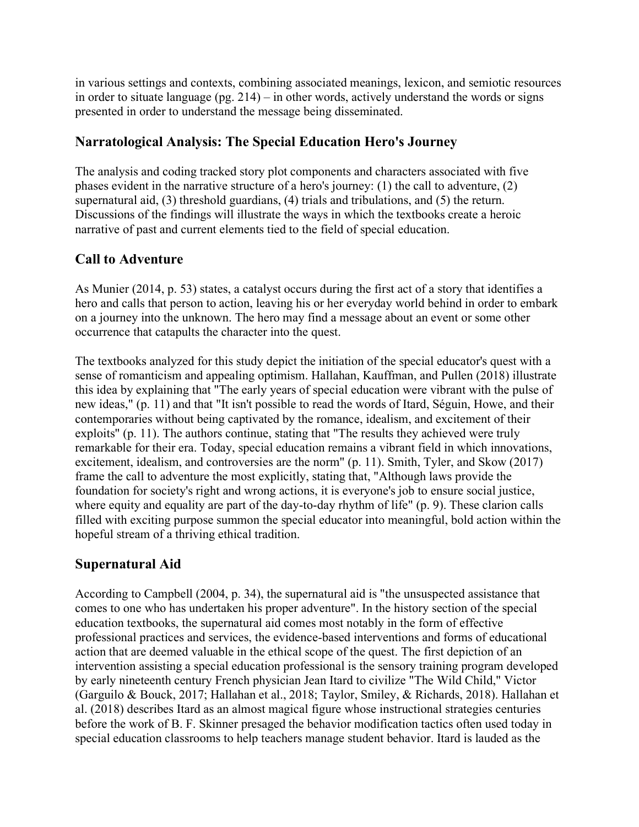in various settings and contexts, combining associated meanings, lexicon, and semiotic resources in order to situate language (pg. 214) – in other words, actively understand the words or signs presented in order to understand the message being disseminated.

## **Narratological Analysis: The Special Education Hero's Journey**

The analysis and coding tracked story plot components and characters associated with five phases evident in the narrative structure of a hero's journey: (1) the call to adventure, (2) supernatural aid, (3) threshold guardians, (4) trials and tribulations, and (5) the return. Discussions of the findings will illustrate the ways in which the textbooks create a heroic narrative of past and current elements tied to the field of special education.

#### **Call to Adventure**

As Munier (2014, p. 53) states, a catalyst occurs during the first act of a story that identifies a hero and calls that person to action, leaving his or her everyday world behind in order to embark on a journey into the unknown. The hero may find a message about an event or some other occurrence that catapults the character into the quest.

The textbooks analyzed for this study depict the initiation of the special educator's quest with a sense of romanticism and appealing optimism. Hallahan, Kauffman, and Pullen (2018) illustrate this idea by explaining that "The early years of special education were vibrant with the pulse of new ideas," (p. 11) and that "It isn't possible to read the words of Itard, Séguin, Howe, and their contemporaries without being captivated by the romance, idealism, and excitement of their exploits" (p. 11). The authors continue, stating that "The results they achieved were truly remarkable for their era. Today, special education remains a vibrant field in which innovations, excitement, idealism, and controversies are the norm" (p. 11). Smith, Tyler, and Skow (2017) frame the call to adventure the most explicitly, stating that, "Although laws provide the foundation for society's right and wrong actions, it is everyone's job to ensure social justice, where equity and equality are part of the day-to-day rhythm of life" (p. 9). These clarion calls filled with exciting purpose summon the special educator into meaningful, bold action within the hopeful stream of a thriving ethical tradition.

## **Supernatural Aid**

According to Campbell (2004, p. 34), the supernatural aid is "the unsuspected assistance that comes to one who has undertaken his proper adventure". In the history section of the special education textbooks, the supernatural aid comes most notably in the form of effective professional practices and services, the evidence-based interventions and forms of educational action that are deemed valuable in the ethical scope of the quest. The first depiction of an intervention assisting a special education professional is the sensory training program developed by early nineteenth century French physician Jean Itard to civilize "The Wild Child," Victor (Garguilo & Bouck, 2017; Hallahan et al., 2018; Taylor, Smiley, & Richards, 2018). Hallahan et al. (2018) describes Itard as an almost magical figure whose instructional strategies centuries before the work of B. F. Skinner presaged the behavior modification tactics often used today in special education classrooms to help teachers manage student behavior. Itard is lauded as the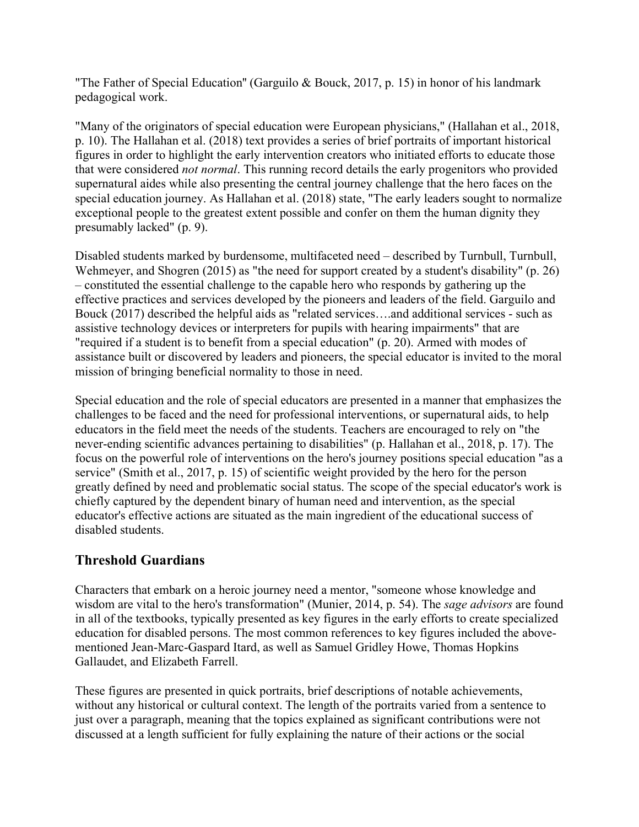"The Father of Special Education'' (Garguilo & Bouck, 2017, p. 15) in honor of his landmark pedagogical work.

"Many of the originators of special education were European physicians," (Hallahan et al., 2018, p. 10). The Hallahan et al. (2018) text provides a series of brief portraits of important historical figures in order to highlight the early intervention creators who initiated efforts to educate those that were considered *not normal*. This running record details the early progenitors who provided supernatural aides while also presenting the central journey challenge that the hero faces on the special education journey. As Hallahan et al. (2018) state, "The early leaders sought to normalize exceptional people to the greatest extent possible and confer on them the human dignity they presumably lacked" (p. 9).

Disabled students marked by burdensome, multifaceted need – described by Turnbull, Turnbull, Wehmeyer, and Shogren (2015) as "the need for support created by a student's disability" (p. 26) – constituted the essential challenge to the capable hero who responds by gathering up the effective practices and services developed by the pioneers and leaders of the field. Garguilo and Bouck (2017) described the helpful aids as "related services….and additional services - such as assistive technology devices or interpreters for pupils with hearing impairments" that are "required if a student is to benefit from a special education" (p. 20). Armed with modes of assistance built or discovered by leaders and pioneers, the special educator is invited to the moral mission of bringing beneficial normality to those in need.

Special education and the role of special educators are presented in a manner that emphasizes the challenges to be faced and the need for professional interventions, or supernatural aids, to help educators in the field meet the needs of the students. Teachers are encouraged to rely on "the never-ending scientific advances pertaining to disabilities" (p. Hallahan et al., 2018, p. 17). The focus on the powerful role of interventions on the hero's journey positions special education "as a service" (Smith et al., 2017, p. 15) of scientific weight provided by the hero for the person greatly defined by need and problematic social status. The scope of the special educator's work is chiefly captured by the dependent binary of human need and intervention, as the special educator's effective actions are situated as the main ingredient of the educational success of disabled students.

## **Threshold Guardians**

Characters that embark on a heroic journey need a mentor, "someone whose knowledge and wisdom are vital to the hero's transformation" (Munier, 2014, p. 54). The *sage advisors* are found in all of the textbooks, typically presented as key figures in the early efforts to create specialized education for disabled persons. The most common references to key figures included the abovementioned Jean-Marc-Gaspard Itard, as well as Samuel Gridley Howe, Thomas Hopkins Gallaudet, and Elizabeth Farrell.

These figures are presented in quick portraits, brief descriptions of notable achievements, without any historical or cultural context. The length of the portraits varied from a sentence to just over a paragraph, meaning that the topics explained as significant contributions were not discussed at a length sufficient for fully explaining the nature of their actions or the social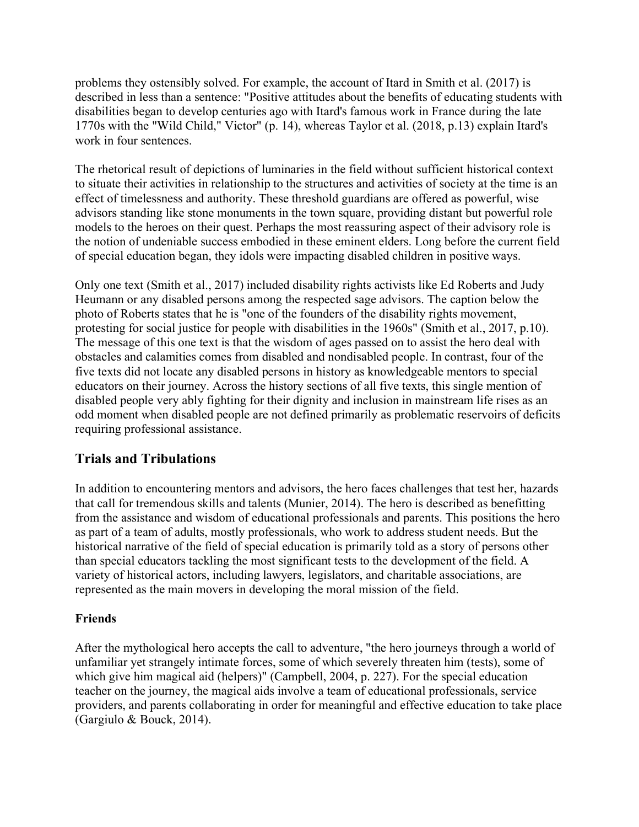problems they ostensibly solved. For example, the account of Itard in Smith et al. (2017) is described in less than a sentence: "Positive attitudes about the benefits of educating students with disabilities began to develop centuries ago with Itard's famous work in France during the late 1770s with the "Wild Child," Victor" (p. 14), whereas Taylor et al. (2018, p.13) explain Itard's work in four sentences.

The rhetorical result of depictions of luminaries in the field without sufficient historical context to situate their activities in relationship to the structures and activities of society at the time is an effect of timelessness and authority. These threshold guardians are offered as powerful, wise advisors standing like stone monuments in the town square, providing distant but powerful role models to the heroes on their quest. Perhaps the most reassuring aspect of their advisory role is the notion of undeniable success embodied in these eminent elders. Long before the current field of special education began, they idols were impacting disabled children in positive ways.

Only one text (Smith et al., 2017) included disability rights activists like Ed Roberts and Judy Heumann or any disabled persons among the respected sage advisors. The caption below the photo of Roberts states that he is "one of the founders of the disability rights movement, protesting for social justice for people with disabilities in the 1960s" (Smith et al., 2017, p.10). The message of this one text is that the wisdom of ages passed on to assist the hero deal with obstacles and calamities comes from disabled and nondisabled people. In contrast, four of the five texts did not locate any disabled persons in history as knowledgeable mentors to special educators on their journey. Across the history sections of all five texts, this single mention of disabled people very ably fighting for their dignity and inclusion in mainstream life rises as an odd moment when disabled people are not defined primarily as problematic reservoirs of deficits requiring professional assistance.

## **Trials and Tribulations**

In addition to encountering mentors and advisors, the hero faces challenges that test her, hazards that call for tremendous skills and talents (Munier, 2014). The hero is described as benefitting from the assistance and wisdom of educational professionals and parents. This positions the hero as part of a team of adults, mostly professionals, who work to address student needs. But the historical narrative of the field of special education is primarily told as a story of persons other than special educators tackling the most significant tests to the development of the field. A variety of historical actors, including lawyers, legislators, and charitable associations, are represented as the main movers in developing the moral mission of the field.

#### **Friends**

After the mythological hero accepts the call to adventure, "the hero journeys through a world of unfamiliar yet strangely intimate forces, some of which severely threaten him (tests), some of which give him magical aid (helpers)" (Campbell, 2004, p. 227). For the special education teacher on the journey, the magical aids involve a team of educational professionals, service providers, and parents collaborating in order for meaningful and effective education to take place (Gargiulo & Bouck, 2014).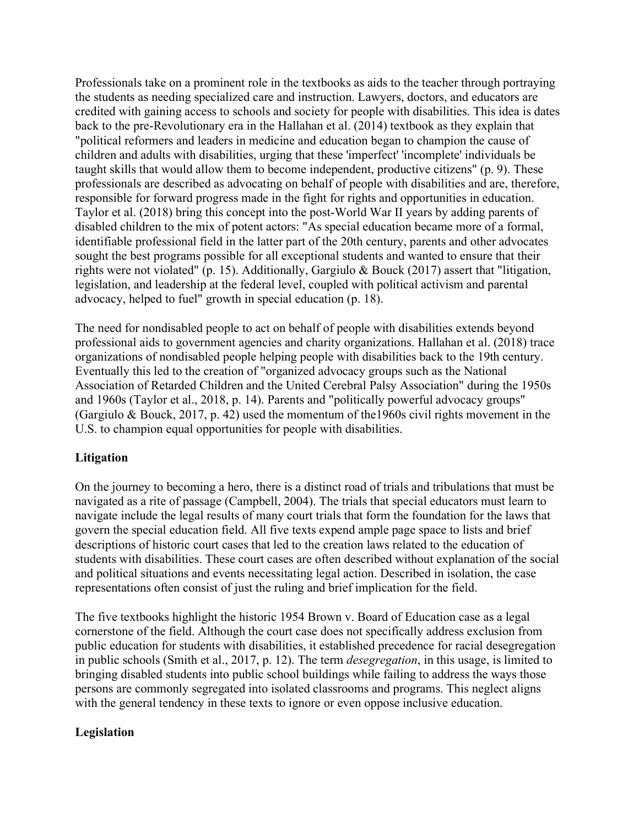Professionals take on a prominent role in the textbooks as aids to the teacher through portraying the students as needing specialized care and instruction. Lawyers, doctors, and educators are credited with gaining access to schools and society for people with disabilities. This idea is dates back to the pre-Revolutionary era in the Hallahan et al. (2014) textbook as they explain that "political reformers and leaders in medicine and education began to champion the cause of children and adults with disabilities, urging that these 'imperfect' 'incomplete' individuals be taught skills that would allow them to become independent, productive citizens" (p. 9). These professionals are described as advocating on behalf of people with disabilities and are, therefore, responsible for forward progress made in the fight for rights and opportunities in education. Taylor et al. (2018) bring this concept into the post-World War II years by adding parents of disabled children to the mix of potent actors: "As special education became more of a formal, identifiable professional field in the latter part of the 20th century, parents and other advocates sought the best programs possible for all exceptional students and wanted to ensure that their rights were not violated" (p. 15). Additionally, Gargiulo & Bouck (2017) assert that "litigation, legislation, and leadership at the federal level, coupled with political activism and parental advocacy, helped to fuel" growth in special education (p. 18).

The need for nondisabled people to act on behalf of people with disabilities extends beyond professional aids to government agencies and charity organizations. Hallahan et al. (2018) trace organizations of nondisabled people helping people with disabilities back to the 19th century. Eventually this led to the creation of "organized advocacy groups such as the National Association of Retarded Children and the United Cerebral Palsy Association" during the 1950s and 1960s (Taylor et al., 2018, p. 14). Parents and "politically powerful advocacy groups" (Gargiulo & Bouck, 2017, p. 42) used the momentum of the1960s civil rights movement in the U.S. to champion equal opportunities for people with disabilities.

#### **Litigation**

On the journey to becoming a hero, there is a distinct road of trials and tribulations that must be navigated as a rite of passage (Campbell, 2004). The trials that special educators must learn to navigate include the legal results of many court trials that form the foundation for the laws that govern the special education field. All five texts expend ample page space to lists and brief descriptions of historic court cases that led to the creation laws related to the education of students with disabilities. These court cases are often described without explanation of the social and political situations and events necessitating legal action. Described in isolation, the case representations often consist of just the ruling and brief implication for the field.

The five textbooks highlight the historic 1954 Brown v. Board of Education case as a legal cornerstone of the field. Although the court case does not specifically address exclusion from public education for students with disabilities, it established precedence for racial desegregation in public schools (Smith et al., 2017, p. 12). The term *desegregation*, in this usage, is limited to bringing disabled students into public school buildings while failing to address the ways those persons are commonly segregated into isolated classrooms and programs. This neglect aligns with the general tendency in these texts to ignore or even oppose inclusive education.

#### **Legislation**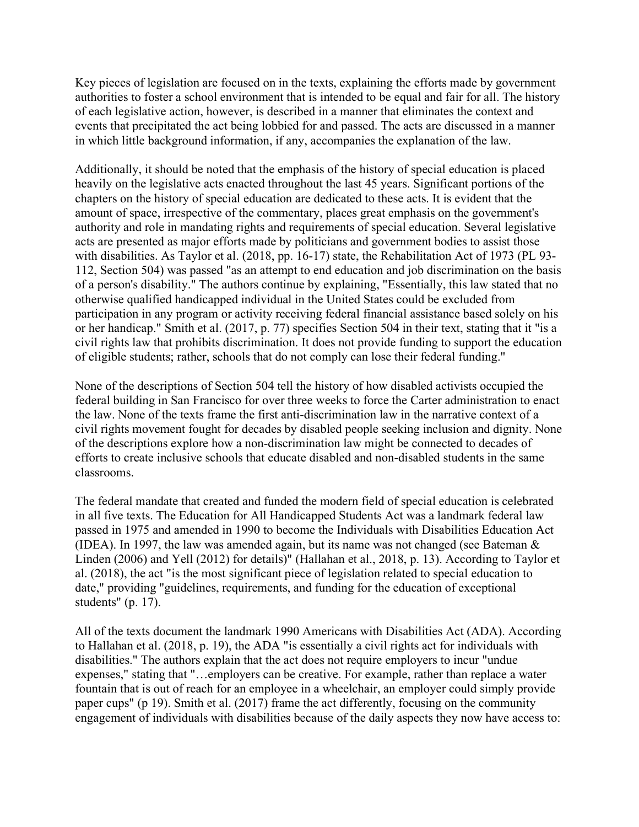Key pieces of legislation are focused on in the texts, explaining the efforts made by government authorities to foster a school environment that is intended to be equal and fair for all. The history of each legislative action, however, is described in a manner that eliminates the context and events that precipitated the act being lobbied for and passed. The acts are discussed in a manner in which little background information, if any, accompanies the explanation of the law.

Additionally, it should be noted that the emphasis of the history of special education is placed heavily on the legislative acts enacted throughout the last 45 years. Significant portions of the chapters on the history of special education are dedicated to these acts. It is evident that the amount of space, irrespective of the commentary, places great emphasis on the government's authority and role in mandating rights and requirements of special education. Several legislative acts are presented as major efforts made by politicians and government bodies to assist those with disabilities. As Taylor et al. (2018, pp. 16-17) state, the Rehabilitation Act of 1973 (PL 93-112, Section 504) was passed "as an attempt to end education and job discrimination on the basis of a person's disability." The authors continue by explaining, "Essentially, this law stated that no otherwise qualified handicapped individual in the United States could be excluded from participation in any program or activity receiving federal financial assistance based solely on his or her handicap." Smith et al. (2017, p. 77) specifies Section 504 in their text, stating that it "is a civil rights law that prohibits discrimination. It does not provide funding to support the education of eligible students; rather, schools that do not comply can lose their federal funding."

None of the descriptions of Section 504 tell the history of how disabled activists occupied the federal building in San Francisco for over three weeks to force the Carter administration to enact the law. None of the texts frame the first anti-discrimination law in the narrative context of a civil rights movement fought for decades by disabled people seeking inclusion and dignity. None of the descriptions explore how a non-discrimination law might be connected to decades of efforts to create inclusive schools that educate disabled and non-disabled students in the same classrooms.

The federal mandate that created and funded the modern field of special education is celebrated in all five texts. The Education for All Handicapped Students Act was a landmark federal law passed in 1975 and amended in 1990 to become the Individuals with Disabilities Education Act (IDEA). In 1997, the law was amended again, but its name was not changed (see Bateman  $\&$ Linden (2006) and Yell (2012) for details)" (Hallahan et al., 2018, p. 13). According to Taylor et al. (2018), the act "is the most significant piece of legislation related to special education to date," providing "guidelines, requirements, and funding for the education of exceptional students" (p. 17).

All of the texts document the landmark 1990 Americans with Disabilities Act (ADA). According to Hallahan et al. (2018, p. 19), the ADA "is essentially a civil rights act for individuals with disabilities." The authors explain that the act does not require employers to incur "undue expenses," stating that "…employers can be creative. For example, rather than replace a water fountain that is out of reach for an employee in a wheelchair, an employer could simply provide paper cups" (p 19). Smith et al. (2017) frame the act differently, focusing on the community engagement of individuals with disabilities because of the daily aspects they now have access to: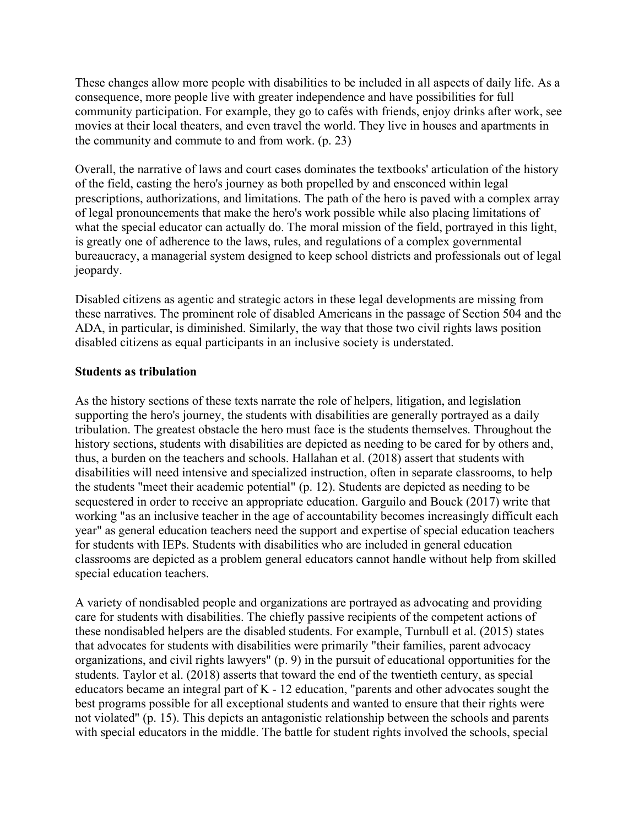These changes allow more people with disabilities to be included in all aspects of daily life. As a consequence, more people live with greater independence and have possibilities for full community participation. For example, they go to cafés with friends, enjoy drinks after work, see movies at their local theaters, and even travel the world. They live in houses and apartments in the community and commute to and from work. (p. 23)

Overall, the narrative of laws and court cases dominates the textbooks' articulation of the history of the field, casting the hero's journey as both propelled by and ensconced within legal prescriptions, authorizations, and limitations. The path of the hero is paved with a complex array of legal pronouncements that make the hero's work possible while also placing limitations of what the special educator can actually do. The moral mission of the field, portrayed in this light, is greatly one of adherence to the laws, rules, and regulations of a complex governmental bureaucracy, a managerial system designed to keep school districts and professionals out of legal jeopardy.

Disabled citizens as agentic and strategic actors in these legal developments are missing from these narratives. The prominent role of disabled Americans in the passage of Section 504 and the ADA, in particular, is diminished. Similarly, the way that those two civil rights laws position disabled citizens as equal participants in an inclusive society is understated.

#### **Students as tribulation**

As the history sections of these texts narrate the role of helpers, litigation, and legislation supporting the hero's journey, the students with disabilities are generally portrayed as a daily tribulation. The greatest obstacle the hero must face is the students themselves. Throughout the history sections, students with disabilities are depicted as needing to be cared for by others and, thus, a burden on the teachers and schools. Hallahan et al. (2018) assert that students with disabilities will need intensive and specialized instruction, often in separate classrooms, to help the students "meet their academic potential" (p. 12). Students are depicted as needing to be sequestered in order to receive an appropriate education. Garguilo and Bouck (2017) write that working "as an inclusive teacher in the age of accountability becomes increasingly difficult each year" as general education teachers need the support and expertise of special education teachers for students with IEPs. Students with disabilities who are included in general education classrooms are depicted as a problem general educators cannot handle without help from skilled special education teachers.

A variety of nondisabled people and organizations are portrayed as advocating and providing care for students with disabilities. The chiefly passive recipients of the competent actions of these nondisabled helpers are the disabled students. For example, Turnbull et al. (2015) states that advocates for students with disabilities were primarily "their families, parent advocacy organizations, and civil rights lawyers" (p. 9) in the pursuit of educational opportunities for the students. Taylor et al. (2018) asserts that toward the end of the twentieth century, as special educators became an integral part of K - 12 education, "parents and other advocates sought the best programs possible for all exceptional students and wanted to ensure that their rights were not violated" (p. 15). This depicts an antagonistic relationship between the schools and parents with special educators in the middle. The battle for student rights involved the schools, special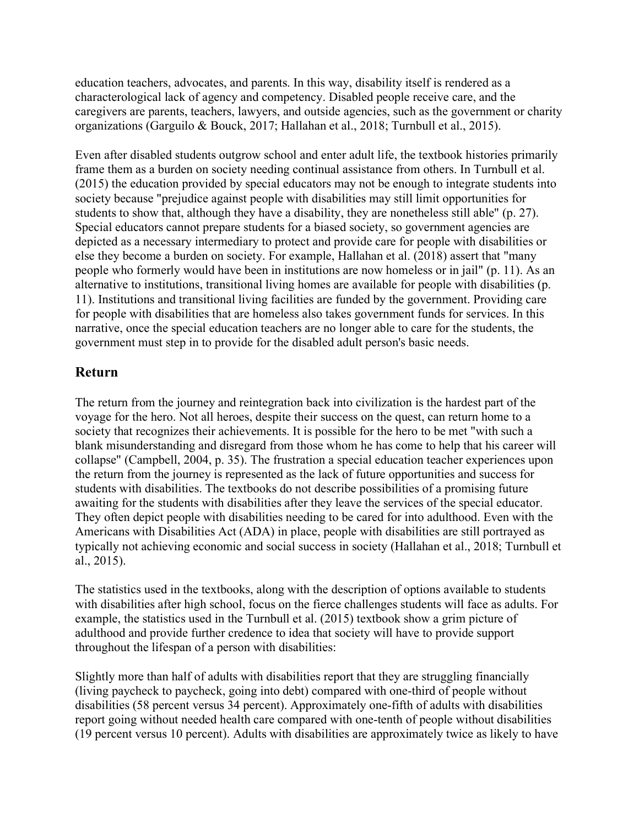education teachers, advocates, and parents. In this way, disability itself is rendered as a characterological lack of agency and competency. Disabled people receive care, and the caregivers are parents, teachers, lawyers, and outside agencies, such as the government or charity organizations (Garguilo & Bouck, 2017; Hallahan et al., 2018; Turnbull et al., 2015).

Even after disabled students outgrow school and enter adult life, the textbook histories primarily frame them as a burden on society needing continual assistance from others. In Turnbull et al. (2015) the education provided by special educators may not be enough to integrate students into society because "prejudice against people with disabilities may still limit opportunities for students to show that, although they have a disability, they are nonetheless still able" (p. 27). Special educators cannot prepare students for a biased society, so government agencies are depicted as a necessary intermediary to protect and provide care for people with disabilities or else they become a burden on society. For example, Hallahan et al. (2018) assert that "many people who formerly would have been in institutions are now homeless or in jail" (p. 11). As an alternative to institutions, transitional living homes are available for people with disabilities (p. 11). Institutions and transitional living facilities are funded by the government. Providing care for people with disabilities that are homeless also takes government funds for services. In this narrative, once the special education teachers are no longer able to care for the students, the government must step in to provide for the disabled adult person's basic needs.

#### **Return**

The return from the journey and reintegration back into civilization is the hardest part of the voyage for the hero. Not all heroes, despite their success on the quest, can return home to a society that recognizes their achievements. It is possible for the hero to be met "with such a blank misunderstanding and disregard from those whom he has come to help that his career will collapse" (Campbell, 2004, p. 35). The frustration a special education teacher experiences upon the return from the journey is represented as the lack of future opportunities and success for students with disabilities. The textbooks do not describe possibilities of a promising future awaiting for the students with disabilities after they leave the services of the special educator. They often depict people with disabilities needing to be cared for into adulthood. Even with the Americans with Disabilities Act (ADA) in place, people with disabilities are still portrayed as typically not achieving economic and social success in society (Hallahan et al., 2018; Turnbull et al., 2015).

The statistics used in the textbooks, along with the description of options available to students with disabilities after high school, focus on the fierce challenges students will face as adults. For example, the statistics used in the Turnbull et al. (2015) textbook show a grim picture of adulthood and provide further credence to idea that society will have to provide support throughout the lifespan of a person with disabilities:

Slightly more than half of adults with disabilities report that they are struggling financially (living paycheck to paycheck, going into debt) compared with one-third of people without disabilities (58 percent versus 34 percent). Approximately one-fifth of adults with disabilities report going without needed health care compared with one-tenth of people without disabilities (19 percent versus 10 percent). Adults with disabilities are approximately twice as likely to have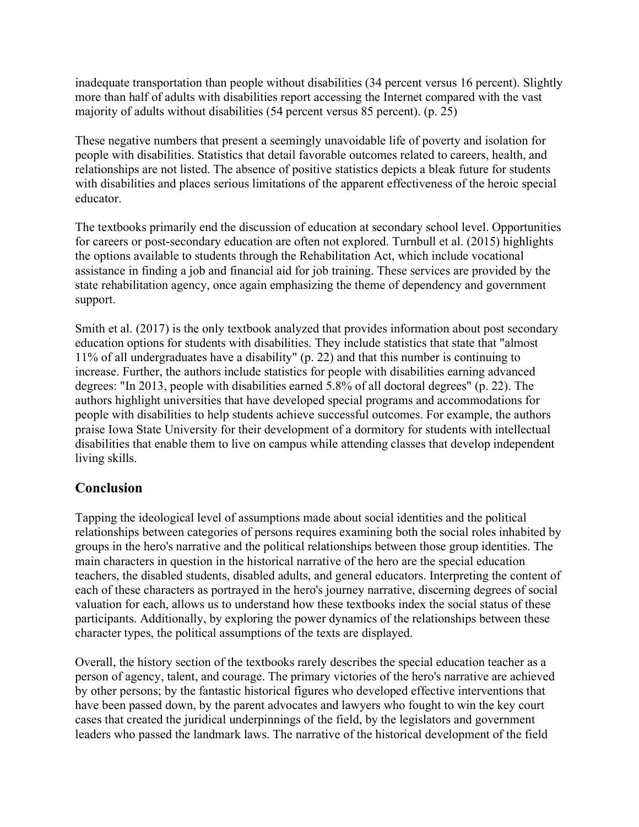inadequate transportation than people without disabilities (34 percent versus 16 percent). Slightly more than half of adults with disabilities report accessing the Internet compared with the vast majority of adults without disabilities (54 percent versus 85 percent). (p. 25)

These negative numbers that present a seemingly unavoidable life of poverty and isolation for people with disabilities. Statistics that detail favorable outcomes related to careers, health, and relationships are not listed. The absence of positive statistics depicts a bleak future for students with disabilities and places serious limitations of the apparent effectiveness of the heroic special educator.

The textbooks primarily end the discussion of education at secondary school level. Opportunities for careers or post-secondary education are often not explored. Turnbull et al. (2015) highlights the options available to students through the Rehabilitation Act, which include vocational assistance in finding a job and financial aid for job training. These services are provided by the state rehabilitation agency, once again emphasizing the theme of dependency and government support.

Smith et al. (2017) is the only textbook analyzed that provides information about post secondary education options for students with disabilities. They include statistics that state that "almost 11% of all undergraduates have a disability" (p. 22) and that this number is continuing to increase. Further, the authors include statistics for people with disabilities earning advanced degrees: "In 2013, people with disabilities earned 5.8% of all doctoral degrees" (p. 22). The authors highlight universities that have developed special programs and accommodations for people with disabilities to help students achieve successful outcomes. For example, the authors praise Iowa State University for their development of a dormitory for students with intellectual disabilities that enable them to live on campus while attending classes that develop independent living skills.

## **Conclusion**

Tapping the ideological level of assumptions made about social identities and the political relationships between categories of persons requires examining both the social roles inhabited by groups in the hero's narrative and the political relationships between those group identities. The main characters in question in the historical narrative of the hero are the special education teachers, the disabled students, disabled adults, and general educators. Interpreting the content of each of these characters as portrayed in the hero's journey narrative, discerning degrees of social valuation for each, allows us to understand how these textbooks index the social status of these participants. Additionally, by exploring the power dynamics of the relationships between these character types, the political assumptions of the texts are displayed.

Overall, the history section of the textbooks rarely describes the special education teacher as a person of agency, talent, and courage. The primary victories of the hero's narrative are achieved by other persons; by the fantastic historical figures who developed effective interventions that have been passed down, by the parent advocates and lawyers who fought to win the key court cases that created the juridical underpinnings of the field, by the legislators and government leaders who passed the landmark laws. The narrative of the historical development of the field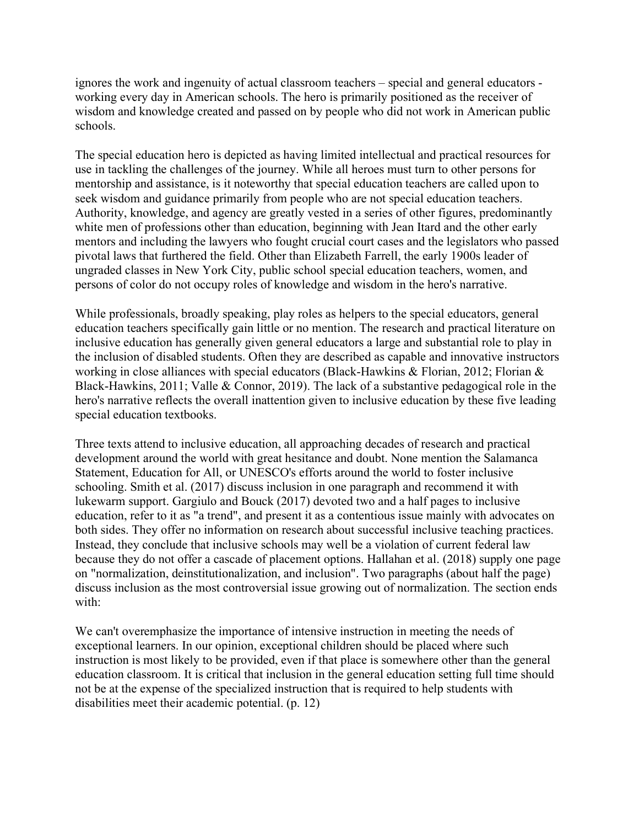ignores the work and ingenuity of actual classroom teachers – special and general educators working every day in American schools. The hero is primarily positioned as the receiver of wisdom and knowledge created and passed on by people who did not work in American public schools.

The special education hero is depicted as having limited intellectual and practical resources for use in tackling the challenges of the journey. While all heroes must turn to other persons for mentorship and assistance, is it noteworthy that special education teachers are called upon to seek wisdom and guidance primarily from people who are not special education teachers. Authority, knowledge, and agency are greatly vested in a series of other figures, predominantly white men of professions other than education, beginning with Jean Itard and the other early mentors and including the lawyers who fought crucial court cases and the legislators who passed pivotal laws that furthered the field. Other than Elizabeth Farrell, the early 1900s leader of ungraded classes in New York City, public school special education teachers, women, and persons of color do not occupy roles of knowledge and wisdom in the hero's narrative.

While professionals, broadly speaking, play roles as helpers to the special educators, general education teachers specifically gain little or no mention. The research and practical literature on inclusive education has generally given general educators a large and substantial role to play in the inclusion of disabled students. Often they are described as capable and innovative instructors working in close alliances with special educators (Black-Hawkins & Florian, 2012; Florian & Black-Hawkins, 2011; Valle & Connor, 2019). The lack of a substantive pedagogical role in the hero's narrative reflects the overall inattention given to inclusive education by these five leading special education textbooks.

Three texts attend to inclusive education, all approaching decades of research and practical development around the world with great hesitance and doubt. None mention the Salamanca Statement, Education for All, or UNESCO's efforts around the world to foster inclusive schooling. Smith et al. (2017) discuss inclusion in one paragraph and recommend it with lukewarm support. Gargiulo and Bouck (2017) devoted two and a half pages to inclusive education, refer to it as "a trend", and present it as a contentious issue mainly with advocates on both sides. They offer no information on research about successful inclusive teaching practices. Instead, they conclude that inclusive schools may well be a violation of current federal law because they do not offer a cascade of placement options. Hallahan et al. (2018) supply one page on "normalization, deinstitutionalization, and inclusion". Two paragraphs (about half the page) discuss inclusion as the most controversial issue growing out of normalization. The section ends with:

We can't overemphasize the importance of intensive instruction in meeting the needs of exceptional learners. In our opinion, exceptional children should be placed where such instruction is most likely to be provided, even if that place is somewhere other than the general education classroom. It is critical that inclusion in the general education setting full time should not be at the expense of the specialized instruction that is required to help students with disabilities meet their academic potential. (p. 12)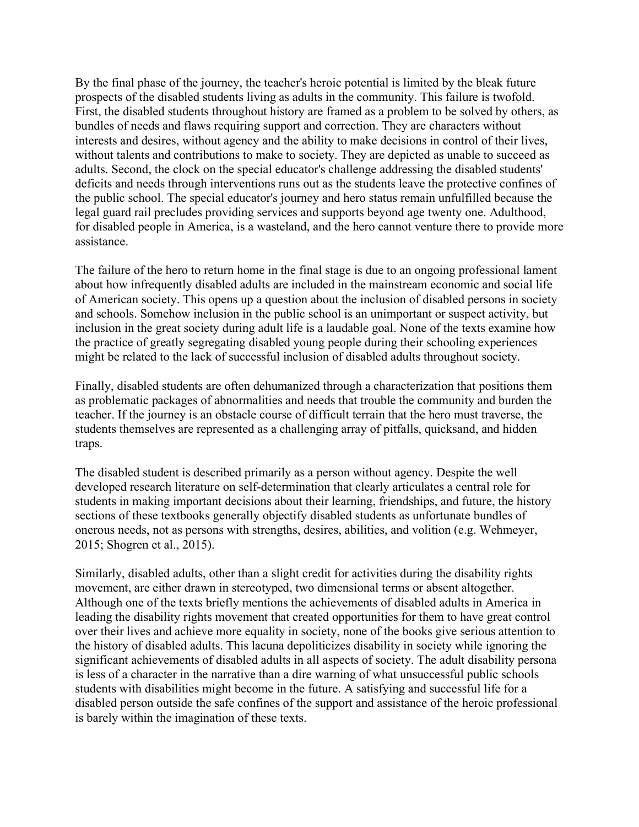By the final phase of the journey, the teacher's heroic potential is limited by the bleak future prospects of the disabled students living as adults in the community. This failure is twofold. First, the disabled students throughout history are framed as a problem to be solved by others, as bundles of needs and flaws requiring support and correction. They are characters without interests and desires, without agency and the ability to make decisions in control of their lives, without talents and contributions to make to society. They are depicted as unable to succeed as adults. Second, the clock on the special educator's challenge addressing the disabled students' deficits and needs through interventions runs out as the students leave the protective confines of the public school. The special educator's journey and hero status remain unfulfilled because the legal guard rail precludes providing services and supports beyond age twenty one. Adulthood, for disabled people in America, is a wasteland, and the hero cannot venture there to provide more assistance.

The failure of the hero to return home in the final stage is due to an ongoing professional lament about how infrequently disabled adults are included in the mainstream economic and social life of American society. This opens up a question about the inclusion of disabled persons in society and schools. Somehow inclusion in the public school is an unimportant or suspect activity, but inclusion in the great society during adult life is a laudable goal. None of the texts examine how the practice of greatly segregating disabled young people during their schooling experiences might be related to the lack of successful inclusion of disabled adults throughout society.

Finally, disabled students are often dehumanized through a characterization that positions them as problematic packages of abnormalities and needs that trouble the community and burden the teacher. If the journey is an obstacle course of difficult terrain that the hero must traverse, the students themselves are represented as a challenging array of pitfalls, quicksand, and hidden traps.

The disabled student is described primarily as a person without agency. Despite the well developed research literature on self-determination that clearly articulates a central role for students in making important decisions about their learning, friendships, and future, the history sections of these textbooks generally objectify disabled students as unfortunate bundles of onerous needs, not as persons with strengths, desires, abilities, and volition (e.g. Wehmeyer, 2015; Shogren et al., 2015).

Similarly, disabled adults, other than a slight credit for activities during the disability rights movement, are either drawn in stereotyped, two dimensional terms or absent altogether. Although one of the texts briefly mentions the achievements of disabled adults in America in leading the disability rights movement that created opportunities for them to have great control over their lives and achieve more equality in society, none of the books give serious attention to the history of disabled adults. This lacuna depoliticizes disability in society while ignoring the significant achievements of disabled adults in all aspects of society. The adult disability persona is less of a character in the narrative than a dire warning of what unsuccessful public schools students with disabilities might become in the future. A satisfying and successful life for a disabled person outside the safe confines of the support and assistance of the heroic professional is barely within the imagination of these texts.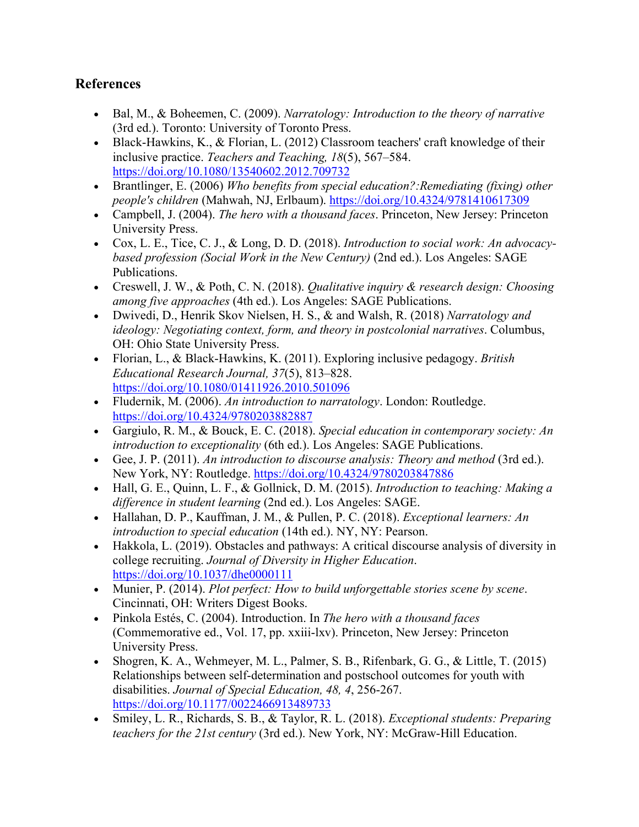## **References**

- Bal, M., & Boheemen, C. (2009). *Narratology: Introduction to the theory of narrative* (3rd ed.). Toronto: University of Toronto Press.
- Black-Hawkins, K., & Florian, L. (2012) Classroom teachers' craft knowledge of their inclusive practice. *Teachers and Teaching, 18*(5), 567–584. <https://doi.org/10.1080/13540602.2012.709732>
- Brantlinger, E. (2006) *Who benefits from special education?:Remediating (fixing) other people's children* (Mahwah, NJ, Erlbaum).<https://doi.org/10.4324/9781410617309>
- Campbell, J. (2004). *The hero with a thousand faces*. Princeton, New Jersey: Princeton University Press.
- Cox, L. E., Tice, C. J., & Long, D. D. (2018). *Introduction to social work: An advocacybased profession (Social Work in the New Century)* (2nd ed.). Los Angeles: SAGE Publications.
- Creswell, J. W., & Poth, C. N. (2018). *Qualitative inquiry & research design: Choosing among five approaches* (4th ed.). Los Angeles: SAGE Publications.
- Dwivedi, D., Henrik Skov Nielsen, H. S., & and Walsh, R. (2018) *Narratology and ideology: Negotiating context, form, and theory in postcolonial narratives*. Columbus, OH: Ohio State University Press.
- Florian, L., & Black-Hawkins, K. (2011). Exploring inclusive pedagogy. *British Educational Research Journal, 37*(5), 813–828. <https://doi.org/10.1080/01411926.2010.501096>
- Fludernik, M. (2006). *An introduction to narratology*. London: Routledge. <https://doi.org/10.4324/9780203882887>
- Gargiulo, R. M., & Bouck, E. C. (2018). *Special education in contemporary society: An introduction to exceptionality* (6th ed.). Los Angeles: SAGE Publications.
- Gee, J. P. (2011). *An introduction to discourse analysis: Theory and method* (3rd ed.). New York, NY: Routledge.<https://doi.org/10.4324/9780203847886>
- Hall, G. E., Quinn, L. F., & Gollnick, D. M. (2015). *Introduction to teaching: Making a difference in student learning* (2nd ed.). Los Angeles: SAGE.
- Hallahan, D. P., Kauffman, J. M., & Pullen, P. C. (2018). *Exceptional learners: An introduction to special education* (14th ed.). NY, NY: Pearson.
- Hakkola, L. (2019). Obstacles and pathways: A critical discourse analysis of diversity in college recruiting. *Journal of Diversity in Higher Education*. <https://doi.org/10.1037/dhe0000111>
- Munier, P. (2014). *Plot perfect: How to build unforgettable stories scene by scene*. Cincinnati, OH: Writers Digest Books.
- Pinkola Estés, C. (2004). Introduction. In *The hero with a thousand faces* (Commemorative ed., Vol. 17, pp. xxiii-lxv). Princeton, New Jersey: Princeton University Press.
- Shogren, K. A., Wehmeyer, M. L., Palmer, S. B., Rifenbark, G. G., & Little, T.  $(2015)$ Relationships between self-determination and postschool outcomes for youth with disabilities. *Journal of Special Education, 48, 4*, 256-267. <https://doi.org/10.1177/0022466913489733>
- Smiley, L. R., Richards, S. B., & Taylor, R. L. (2018). *Exceptional students: Preparing teachers for the 21st century* (3rd ed.). New York, NY: McGraw-Hill Education.